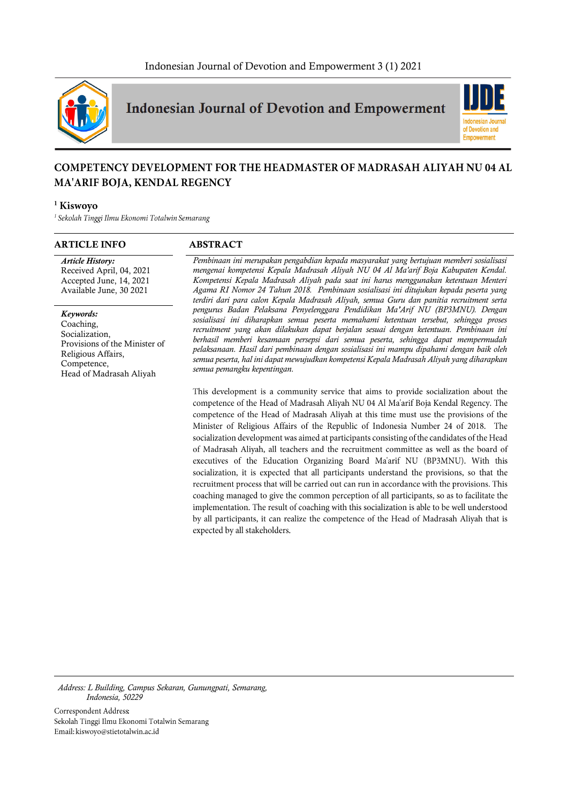

**Indonesian Journal of Devotion and Empowerment** 



# **COMPETENCY DEVELOPMENT FOR THE HEADMASTER OF MADRASAH ALIYAH NU 04 AL** MA'ARIF BOJA, KENDAL REGENCY

### <sup>1</sup> Kiswovo

<sup>1</sup> Sekolah Tinggi Ilmu Ekonomi Totalwin Semarang

#### **ARTICLE INFO ABSTRACT**

*Article History:* Received April, 04, 2021 Accepted June, 14, 2021 Available June, 30 2021

*Keywords:* Coaching, Socialization, Provisions of the Minister of Religious Affairs, Competence, Head of Madrasah Aliyah

*Pembinaan ini merupakan pengabdian kepada masyarakat yang bertujuan memberi sosialisasi mengenai kompetensi Kepala Madrasah Aliyah NU 04 Al Ma'arif Boja Kabupaten Kendal. Kompetensi Kepala Madrasah Aliyah pada saat ini harus menggunakan ketentuan Menteri Agama RI Nomor 24 Tahun 2018. Pembinaan sosialisasi ini ditujukan kepada peserta yang terdiri dari para calon Kepala Madrasah Aliyah, semua Guru dan panitia recruitment serta pengurus Badan Pelaksana Penyelenggara Pendidikan Ma'Arif NU (BP3MNU). Dengan sosialisasi ini diharapkan semua peserta memahami ketentuan tersebut, sehingga proses recruitment yang akan dilakukan dapat berjalan sesuai dengan ketentuan. Pembinaan ini berhasil memberi kesamaan persepsi dari semua peserta, sehingga dapat mempermudah pelaksanaan. Hasil dari pembinaan dengan sosialisasi ini mampu dipahami dengan baik oleh semua peserta, hal ini dapat mewujudkan kompetensi Kepala Madrasah Aliyah yang diharapkan semua pemangku kepentingan.*

This development is a community service that aims to provide socialization about the competence of the Head of Madrasah Aliyah NU 04 Al Ma'arif Boja Kendal Regency. The competence of the Head of Madrasah Aliyah at this time must use the provisions of the Minister of Religious Affairs of the Republic of Indonesia Number 24 of 2018. The socialization development was aimed at participants consisting of the candidates of the Head of Madrasah Aliyah, all teachers and the recruitment committee as well as the board of executives of the Education Organizing Board Ma'arif NU (BP3MNU). With this socialization, it is expected that all participants understand the provisions, so that the recruitment process that will be carried out can run in accordance with the provisions. This coaching managed to give the common perception of all participants, so as to facilitate the implementation. The result of coaching with this socialization is able to be well understood by all participants, it can realize the competence of the Head of Madrasah Aliyah that is expected by all stakeholders.

*Address: L Building, Campus Sekaran, Gunungpati, Semarang, Indonesia, 50229*

Correspondent Address: Sekolah Tinggi Ilmu Ekonomi Totalwin Semarang Email: kiswoyo@stietotalwin.ac.id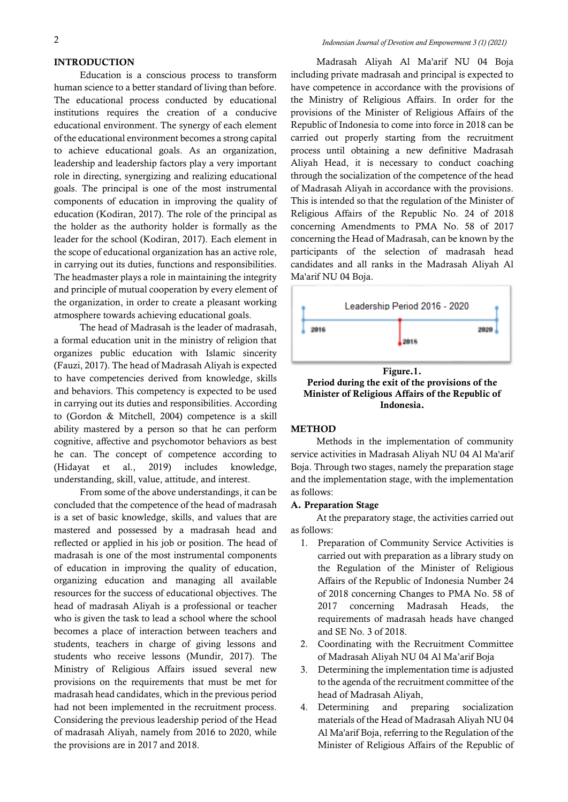#### **INTRODUCTION**

Education is a conscious process to transform human science to a better standard of living than before. The educational process conducted by educational institutions requires the creation of a conducive educational environment. The synergy of each element of the educational environment becomes a strong capital to achieve educational goals. As an organization, leadership and leadership factors play a very important role in directing, synergizing and realizing educational goals. The principal is one of the most instrumental components of education in improving the quality of education (Kodiran, 2017). The role of the principal as the holder as the authority holder is formally as the leader for the school (Kodiran, 2017). Each element in the scope of educational organization has an active role, in carrying out its duties, functions and responsibilities. The headmaster plays a role in maintaining the integrity and principle of mutual cooperation by every element of the organization, in order to create a pleasant working atmosphere towards achieving educational goals.

The head of Madrasah is the leader of madrasah, a formal education unit in the ministry of religion that organizes public education with Islamic sincerity (Fauzi, 2017). The head of Madrasah Aliyah is expected to have competencies derived from knowledge, skills and behaviors. This competency is expected to be used in carrying out its duties and responsibilities. According to (Gordon & Mitchell, 2004) competence is a skill ability mastered by a person so that he can perform cognitive, affective and psychomotor behaviors as best he can. The concept of competence according to (Hidayat et al., 2019) includes knowledge, understanding, skill, value, attitude, and interest.

From some of the above understandings, it can be concluded that the competence of the head of madrasah is a set of basic knowledge, skills, and values that are mastered and possessed by a madrasah head and reflected or applied in his job or position. The head of madrasah is one of the most instrumental components of education in improving the quality of education, organizing education and managing all available resources for the success of educational objectives. The head of madrasah Aliyah is a professional or teacher who is given the task to lead a school where the school becomes a place of interaction between teachers and students, teachers in charge of giving lessons and students who receive lessons (Mundir, 2017). The Ministry of Religious Affairs issued several new provisions on the requirements that must be met for madrasah head candidates, which in the previous period had not been implemented in the recruitment process. Considering the previous leadership period of the Head of madrasah Aliyah, namely from 2016 to 2020, while the provisions are in 2017 and 2018.

Madrasah Aliyah Al Ma'arif NU 04 Boja including private madrasah and principal is expected to have competence in accordance with the provisions of the Ministry of Religious Affairs. In order for the provisions of the Minister of Religious Affairs of the Republic of Indonesia to come into force in 2018 can be carried out properly starting from the recruitment process until obtaining a new definitive Madrasah Aliyah Head, it is necessary to conduct coaching through the socialization of the competence of the head of Madrasah Aliyah in accordance with the provisions. This is intended so that the regulation of the Minister of Religious Affairs of the Republic No. 24 of 2018 concerning Amendments to PMA No. 58 of 2017 concerning the Head of Madrasah, can be known by the participants of the selection of madrasah head candidates and all ranks in the Madrasah Aliyah Al Ma'arif NU 04 Boja.



**Period during the exit of the provisions of the Minister of Religious Affairs of the Republic of Indonesia.**

#### **METHOD**

Methods in the implementation of community service activities in Madrasah Aliyah NU 04 Al Ma'arif Boja. Through two stages, namely the preparation stage and the implementation stage, with the implementation as follows:

#### **A. Preparation Stage**

At the preparatory stage, the activities carried out as follows:

- 1. Preparation of Community Service Activities is carried out with preparation as a library study on the Regulation of the Minister of Religious Affairs of the Republic of Indonesia Number 24 of 2018 concerning Changes to PMA No. 58 of 2017 concerning Madrasah Heads, the requirements of madrasah heads have changed and SE No. 3 of 2018.
- 2. Coordinating with the Recruitment Committee of Madrasah Aliyah NU 04 Al Ma'arif Boja
- 3. Determining the implementation time is adjusted to the agenda of the recruitment committee of the head of Madrasah Aliyah,
- 4. Determining and preparing socialization materials of the Head of Madrasah Aliyah NU 04 Al Ma'arif Boja, referring to the Regulation of the Minister of Religious Affairs of the Republic of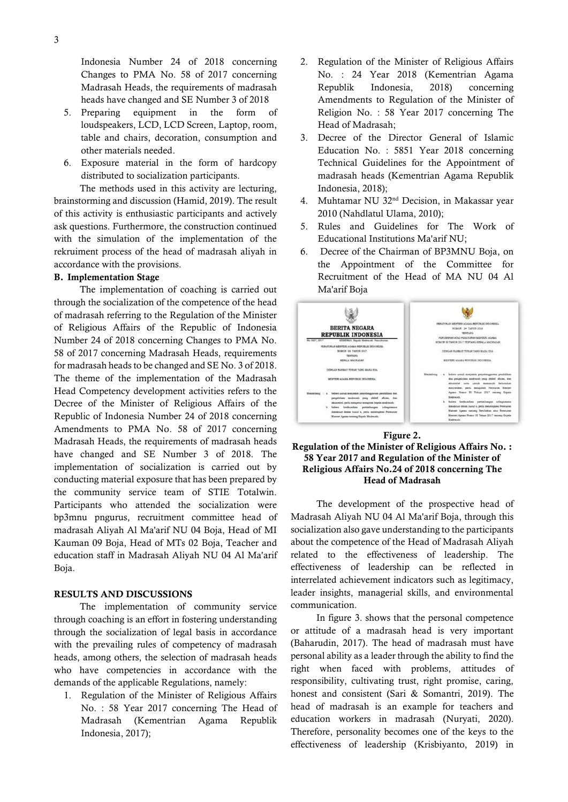Indonesia Number 24 of 2018 concerning Changes to PMA No. 58 of 2017 concerning Madrasah Heads, the requirements of madrasah heads have changed and SE Number 3 of 2018

- 5. Preparing equipment in the form of loudspeakers, LCD, LCD Screen, Laptop, room, table and chairs, decoration, consumption and other materials needed.
- 6. Exposure material in the form of hardcopy distributed to socialization participants.

The methods used in this activity are lecturing, brainstorming and discussion (Hamid, 2019). The result of this activity is enthusiastic participants and actively ask questions. Furthermore, the construction continued with the simulation of the implementation of the rekruiment process of the head of madrasah aliyah in accordance with the provisions.

#### **B. Implementation Stage**

The implementation of coaching is carried out through the socialization of the competence of the head of madrasah referring to the Regulation of the Minister of Religious Affairs of the Republic of Indonesia Number 24 of 2018 concerning Changes to PMA No. 58 of 2017 concerning Madrasah Heads, requirements for madrasah heads to be changed and SE No. 3 of 2018. The theme of the implementation of the Madrasah Head Competency development activities refers to the Decree of the Minister of Religious Affairs of the Republic of Indonesia Number 24 of 2018 concerning Amendments to PMA No. 58 of 2017 concerning Madrasah Heads, the requirements of madrasah heads have changed and SE Number 3 of 2018. The implementation of socialization is carried out by conducting material exposure that has been prepared by the community service team of STIE Totalwin. Participants who attended the socialization were bp3mnu pngurus, recruitment committee head of madrasah Aliyah Al Ma'arif NU 04 Boja, Head of MI Kauman 09 Boja, Head of MTs 02 Boja, Teacher and education staff in Madrasah Aliyah NU 04 Al Ma'arif Boja.

#### **RESULTS AND DISCUSSIONS**

The implementation of community service through coaching is an effort in fostering understanding through the socialization of legal basis in accordance with the prevailing rules of competency of madrasah heads, among others, the selection of madrasah heads who have competencies in accordance with the demands of the applicable Regulations, namely:

1. Regulation of the Minister of Religious Affairs No. : 58 Year 2017 concerning The Head of Madrasah (Kementrian Agama Republik Indonesia, 2017);

- 2. Regulation of the Minister of Religious Affairs No. : 24 Year 2018 (Kementrian Agama Republik Indonesia, 2018) concerning Amendments to Regulation of the Minister of Religion No. : 58 Year 2017 concerning The Head of Madrasah;
- 3. Decree of the Director General of Islamic Education No. : 5851 Year 2018 concerning Technical Guidelines for the Appointment of madrasah heads (Kementrian Agama Republik Indonesia, 2018);
- 4. Muhtamar NU 32nd Decision, in Makassar year 2010 (Nahdlatul Ulama, 2010);
- 5. Rules and Guidelines for The Work of Educational Institutions Ma'arif NU;
- 6. Decree of the Chairman of BP3MNU Boja, on the Appointment of the Committee for Recruitment of the Head of MA NU 04 Al Ma'arif Boja



#### **Figure 2.**

## **Regulation of the Minister of Religious Affairs No. : 58 Year 2017 and Regulation of the Minister of Religious Affairs No.24 of 2018 concerning The Head of Madrasah**

The development of the prospective head of Madrasah Aliyah NU 04 Al Ma'arif Boja, through this socialization also gave understanding to the participants about the competence of the Head of Madrasah Aliyah related to the effectiveness of leadership. The effectiveness of leadership can be reflected in interrelated achievement indicators such as legitimacy, leader insights, managerial skills, and environmental communication.

In figure 3. shows that the personal competence or attitude of a madrasah head is very important (Baharudin, 2017). The head of madrasah must have personal ability as a leader through the ability to find the right when faced with problems, attitudes of responsibility, cultivating trust, right promise, caring, honest and consistent (Sari & Somantri, 2019). The head of madrasah is an example for teachers and education workers in madrasah (Nuryati, 2020). Therefore, personality becomes one of the keys to the effectiveness of leadership (Krisbiyanto, 2019) in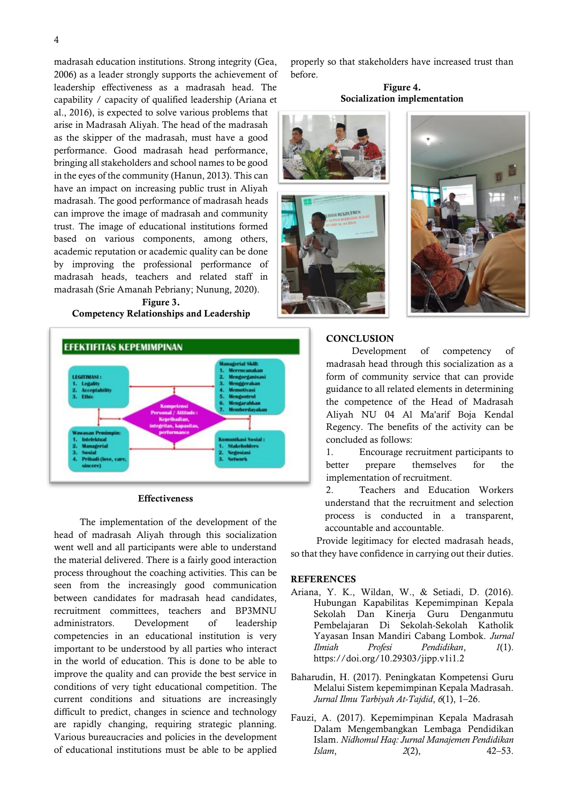madrasah education institutions. Strong integrity (Gea, 2006) as a leader strongly supports the achievement of leadership effectiveness as a madrasah head. The capability / capacity of qualified leadership (Ariana et

al., 2016), is expected to solve various problems that arise in Madrasah Aliyah. The head of the madrasah as the skipper of the madrasah, must have a good performance. Good madrasah head performance, bringing all stakeholders and school names to be good in the eyes of the community (Hanun, 2013). This can have an impact on increasing public trust in Aliyah madrasah. The good performance of madrasah heads can improve the image of madrasah and community trust. The image of educational institutions formed based on various components, among others, academic reputation or academic quality can be done by improving the professional performance of madrasah heads, teachers and related staff in madrasah (Srie Amanah Pebriany; Nunung, 2020).

**Figure 3. Competency Relationships and Leadership** 



#### **Effectiveness**

The implementation of the development of the head of madrasah Aliyah through this socialization went well and all participants were able to understand the material delivered. There is a fairly good interaction process throughout the coaching activities. This can be seen from the increasingly good communication between candidates for madrasah head candidates, recruitment committees, teachers and BP3MNU administrators. Development of leadership competencies in an educational institution is very important to be understood by all parties who interact in the world of education. This is done to be able to improve the quality and can provide the best service in conditions of very tight educational competition. The current conditions and situations are increasingly difficult to predict, changes in science and technology are rapidly changing, requiring strategic planning. Various bureaucracies and policies in the development of educational institutions must be able to be applied

properly so that stakeholders have increased trust than before.

#### **Figure 4. Socialization implementation**





#### **CONCLUSION**

Development of competency of madrasah head through this socialization as a form of community service that can provide guidance to all related elements in determining the competence of the Head of Madrasah Aliyah NU 04 Al Ma'arif Boja Kendal Regency. The benefits of the activity can be concluded as follows:

1. Encourage recruitment participants to better prepare themselves for the implementation of recruitment.

2. Teachers and Education Workers understand that the recruitment and selection process is conducted in a transparent, accountable and accountable.

Provide legitimacy for elected madrasah heads, so that they have confidence in carrying out their duties.

#### **REFERENCES**

- Ariana, Y. K., Wildan, W., & Setiadi, D. (2016). Hubungan Kapabilitas Kepemimpinan Kepala Sekolah Dan Kinerja Guru Denganmutu Pembelajaran Di Sekolah-Sekolah Katholik Yayasan Insan Mandiri Cabang Lombok. *Jurnal Ilmiah Profesi Pendidikan*, *1*(1). https://doi.org/10.29303/jipp.v1i1.2
- Baharudin, H. (2017). Peningkatan Kompetensi Guru Melalui Sistem kepemimpinan Kepala Madrasah. *Jurnal Ilmu Tarbiyah At-Tajdid*, *6*(1), 1–26.
- Fauzi, A. (2017). Kepemimpinan Kepala Madrasah Dalam Mengembangkan Lembaga Pendidikan Islam. *Nidhomul Haq: Jurnal Manajemen Pendidikan Islam*, *2*(2), 42–53.